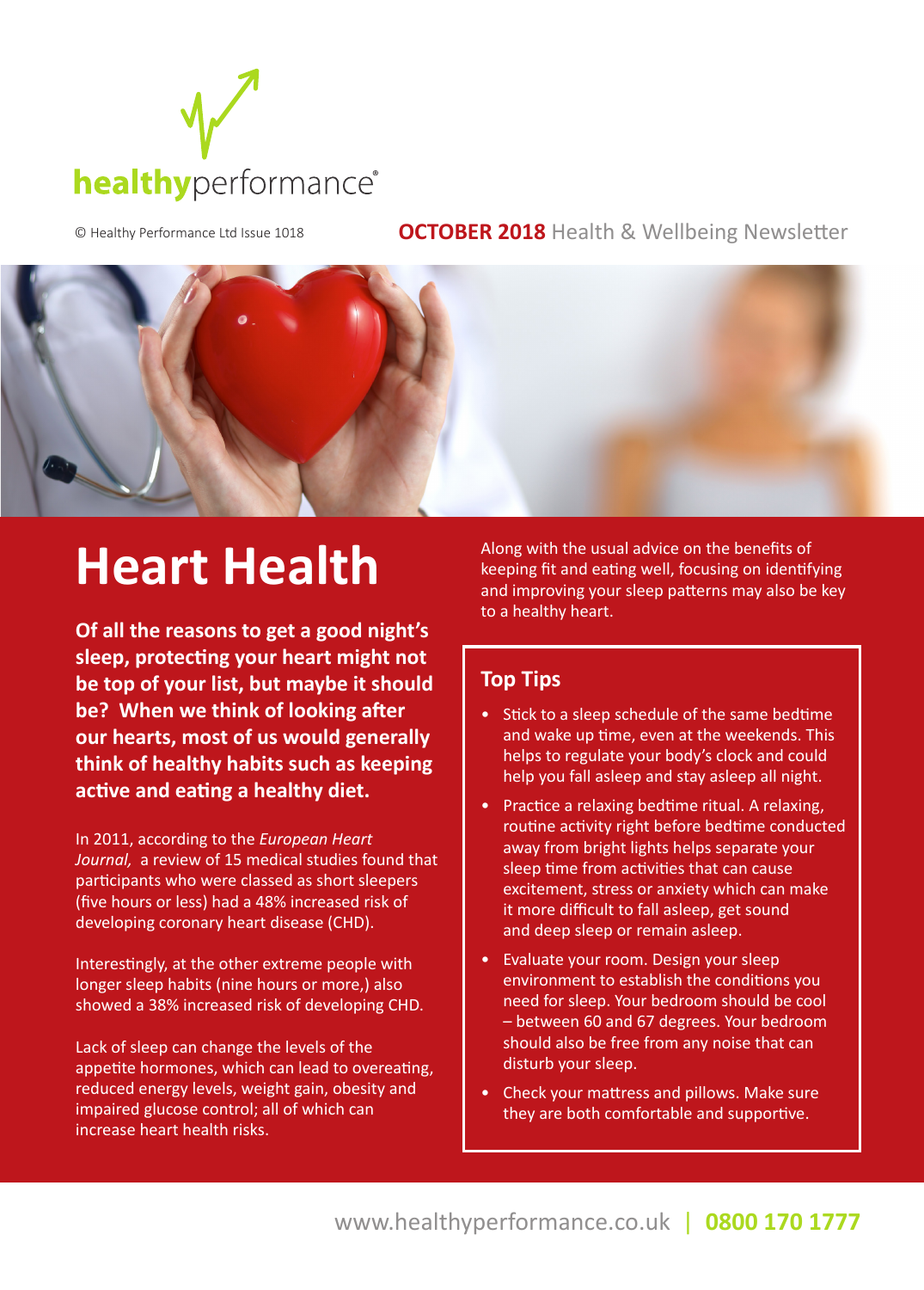

© Healthy Performance Ltd Issue 1018 **OCTOBER 2018** Health & Wellbeing Newsletter



# **Heart Health**

**Of all the reasons to get a good night's sleep, protecting your heart might not be top of your list, but maybe it should be? When we think of looking after our hearts, most of us would generally think of healthy habits such as keeping active and eating a healthy diet.** 

In 2011, according to the *European Heart Journal,* a review of 15 medical studies found that participants who were classed as short sleepers (five hours or less) had a 48% increased risk of developing coronary heart disease (CHD).

Interestingly, at the other extreme people with longer sleep habits (nine hours or more,) also showed a 38% increased risk of developing CHD.

Lack of sleep can change the levels of the appetite hormones, which can lead to overeating, reduced energy levels, weight gain, obesity and impaired glucose control; all of which can increase heart health risks.

Along with the usual advice on the benefits of keeping fit and eating well, focusing on identifying and improving your sleep patterns may also be key to a healthy heart.

### **Top Tips**

- Stick to a sleep schedule of the same bedtime and wake up time, even at the weekends. This helps to regulate your body's clock and could help you fall asleep and stay asleep all night.
- Practice a relaxing bedtime ritual. A relaxing, routine activity right before bedtime conducted away from bright lights helps separate your sleep time from activities that can cause excitement, stress or anxiety which can make it more difficult to fall asleep, get sound and deep sleep or remain asleep.
- Evaluate your room. Design your sleep environment to establish the conditions you need for sleep. Your bedroom should be cool – between 60 and 67 degrees. Your bedroom should also be free from any noise that can disturb your sleep.
- Check your mattress and pillows. Make sure they are both comfortable and supportive.